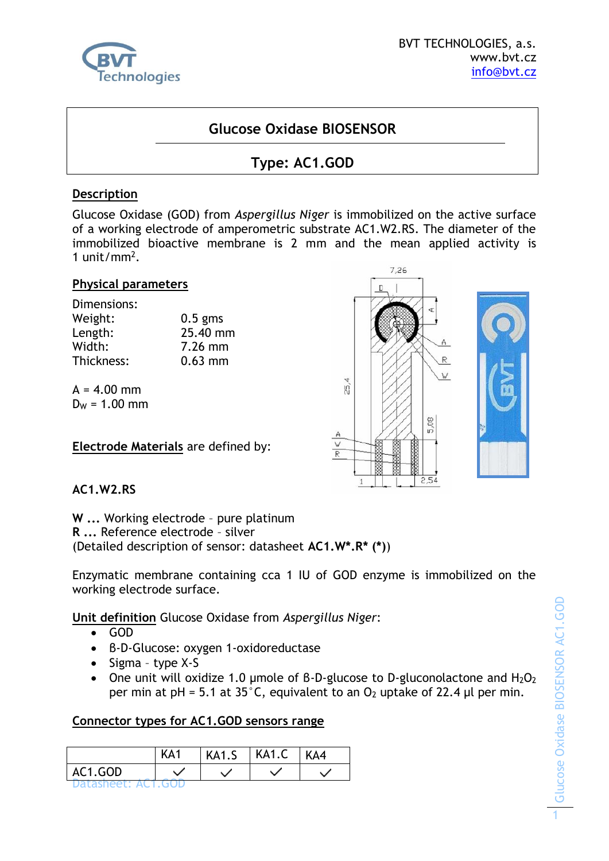

# **Glucose Oxidase BIOSENSOR**

# **Type: AC1.GOD**

### **Description**

Glucose Oxidase (GOD) from *Aspergillus Niger* is immobilized on the active surface of a working electrode of amperometric substrate AC1.W2.RS. The diameter of the immobilized bioactive membrane is 2 mm and the mean applied activity is 1 unit/mm<sup>2</sup> .

#### **Physical parameters**

| Dimensions: |           |
|-------------|-----------|
| Weight:     | $0.5$ gms |
| Length:     | 25.40 mm  |
| Width:      | $7.26$ mm |
| Thickness:  | $0.63$ mm |

 $A = 4.00$  mm  $D_W = 1.00$  mm

**Electrode Materials** are defined by:



# **AC1.W2.RS**

**W ...** Working electrode – pure platinum

**R ...** Reference electrode – silver

(Detailed description of sensor: datasheet **AC1.W\*.R\* (\*)**)

Enzymatic membrane containing cca 1 IU of GOD enzyme is immobilized on the working electrode surface.

**Unit definition** Glucose Oxidase from *Aspergillus Niger*:

- GOD
- β-D-Glucose: oxygen 1-oxidoreductase
- Sigma type X-S
- One unit will oxidize 1.0 umole of B-D-glucose to D-gluconolactone and  $H_2O_2$ per min at pH = 5.1 at 35°C, equivalent to an  $O_2$  uptake of 22.4 µl per min.

#### **Connector types for AC1.GOD sensors range**

|                            | KA1 | KA1.S | $ $ KA1.C | KA4 |
|----------------------------|-----|-------|-----------|-----|
| AC1.GOD                    |     |       |           |     |
| <b>IDATASHAAT' AUT GUD</b> |     |       |           |     |

Glucose Oxidase BIOSENSOR AC1.GOD Glucose Oxidase BIOSENSOR AC1.GOD